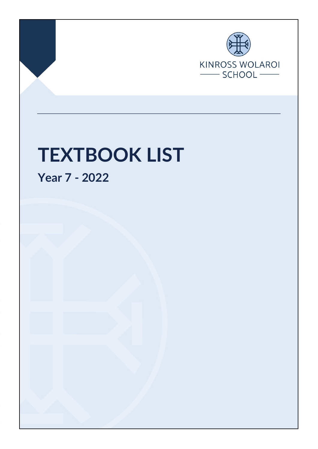

Page 1 of 3 Final Nov 2021

## **TEXTBOOK LIST**

**Year 7 - 2022**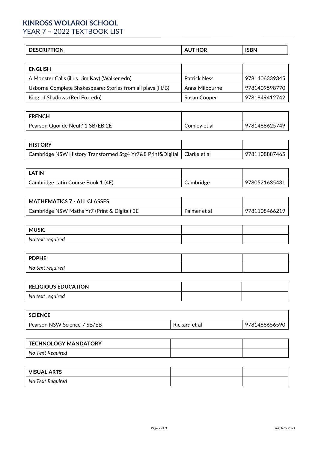## **KINROSS WOLAROI SCHOOL**

YEAR 7 – 2022 TEXTBOOK LIST

| ---------<br>ЛV<br>,,<br>יווישבע | --<br> | ICDNI |
|----------------------------------|--------|-------|
|                                  |        |       |

| <b>ENGLISH</b>                                             |                     |               |
|------------------------------------------------------------|---------------------|---------------|
| A Monster Calls (illus. Jim Kay) (Walker edn)              | <b>Patrick Ness</b> | 9781406339345 |
| Usborne Complete Shakespeare: Stories from all plays (H/B) | Anna Milbourne      | 9781409598770 |
| King of Shadows (Red Fox edn)                              | Susan Cooper        | 9781849412742 |

| <b>FRENCH</b>                    |              |               |
|----------------------------------|--------------|---------------|
| Pearson Quoi de Neuf? 1 SB/EB 2E | Comley et al | 9781488625749 |

| <b>HISTORY</b>                                                            |               |
|---------------------------------------------------------------------------|---------------|
| Cambridge NSW History Transformed Stg4 Yr7&8 Print&Digital   Clarke et al | 9781108887465 |

| LATIN                              |           |               |
|------------------------------------|-----------|---------------|
| Cambridge Latin Course Book 1 (4E) | Cambridge | 9780521635431 |

| MATHEMATICS 7 - ALL CLASSES                  |              |               |
|----------------------------------------------|--------------|---------------|
| Cambridge NSW Maths Yr7 (Print & Digital) 2E | Palmer et al | 9781108466219 |

| <b>MUSIC</b>     |  |
|------------------|--|
| No text required |  |

| <b>PDPHE</b>     |  |
|------------------|--|
| No text required |  |

| <b>RELIGIOUS EDUCATION</b> |  |
|----------------------------|--|
| No text required           |  |

| <b>SCIENCE</b>              |               |               |
|-----------------------------|---------------|---------------|
| Pearson NSW Science 7 SB/EB | Rickard et al | 9781488656590 |

| TECHNOLOGY MANDATORY |  |
|----------------------|--|
| No Text Required     |  |

| <b>VISUAL ARTS</b> |  |
|--------------------|--|
| No Text Required   |  |